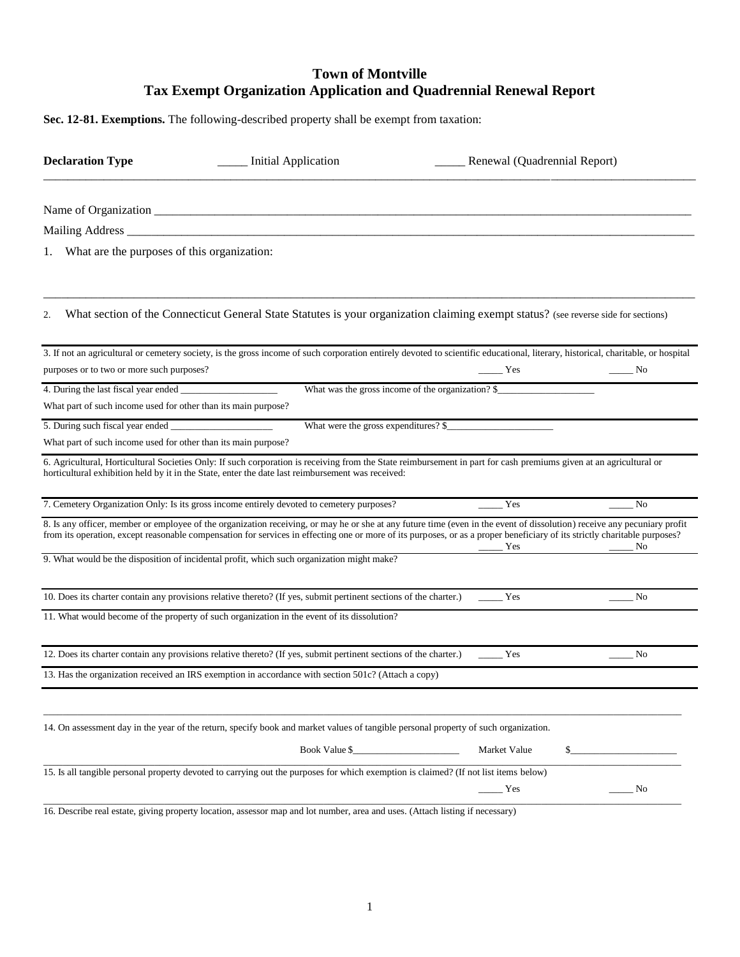## **Town of Montville Tax Exempt Organization Application and Quadrennial Renewal Report**

**Sec. 12-81. Exemptions.** The following-described property shall be exempt from taxation:

| <b>Declaration Type</b>                                        | <b>Initial Application</b>                                                                                                                                                                                                                                                                                                                            | Renewal (Quadrennial Report) |                                     |
|----------------------------------------------------------------|-------------------------------------------------------------------------------------------------------------------------------------------------------------------------------------------------------------------------------------------------------------------------------------------------------------------------------------------------------|------------------------------|-------------------------------------|
|                                                                |                                                                                                                                                                                                                                                                                                                                                       |                              |                                     |
|                                                                |                                                                                                                                                                                                                                                                                                                                                       |                              |                                     |
| What are the purposes of this organization:                    |                                                                                                                                                                                                                                                                                                                                                       |                              |                                     |
| 2.                                                             | What section of the Connecticut General State Statutes is your organization claiming exempt status? (see reverse side for sections)                                                                                                                                                                                                                   |                              |                                     |
| purposes or to two or more such purposes?                      | 3. If not an agricultural or cemetery society, is the gross income of such corporation entirely devoted to scientific educational, literary, historical, charitable, or hospital                                                                                                                                                                      | Yes                          | $\frac{1}{\sqrt{1-\frac{1}{2}}}$ No |
| 4. During the last fiscal year ended                           | What was the gross income of the organization? \$_                                                                                                                                                                                                                                                                                                    |                              |                                     |
| What part of such income used for other than its main purpose? |                                                                                                                                                                                                                                                                                                                                                       |                              |                                     |
| 5. During such fiscal year ended _                             | What were the gross expenditures? \$_                                                                                                                                                                                                                                                                                                                 |                              |                                     |
| What part of such income used for other than its main purpose? |                                                                                                                                                                                                                                                                                                                                                       |                              |                                     |
|                                                                | 6. Agricultural, Horticultural Societies Only: If such corporation is receiving from the State reimbursement in part for cash premiums given at an agricultural or<br>horticultural exhibition held by it in the State, enter the date last reimbursement was received:                                                                               |                              |                                     |
|                                                                | 7. Cemetery Organization Only: Is its gross income entirely devoted to cemetery purposes?                                                                                                                                                                                                                                                             | Yes                          | N <sub>0</sub>                      |
|                                                                | 8. Is any officer, member or employee of the organization receiving, or may he or she at any future time (even in the event of dissolution) receive any pecuniary profit<br>from its operation, except reasonable compensation for services in effecting one or more of its purposes, or as a proper beneficiary of its strictly charitable purposes? | Yes                          | No                                  |
|                                                                | 9. What would be the disposition of incidental profit, which such organization might make?                                                                                                                                                                                                                                                            |                              |                                     |
|                                                                | 10. Does its charter contain any provisions relative thereto? (If yes, submit pertinent sections of the charter.)                                                                                                                                                                                                                                     | Yes                          | No                                  |
|                                                                | 11. What would become of the property of such organization in the event of its dissolution?                                                                                                                                                                                                                                                           |                              |                                     |
|                                                                | 12. Does its charter contain any provisions relative thereto? (If yes, submit pertinent sections of the charter.)                                                                                                                                                                                                                                     | Yes                          | No                                  |
|                                                                | 13. Has the organization received an IRS exemption in accordance with section 501c? (Attach a copy)                                                                                                                                                                                                                                                   |                              |                                     |
|                                                                | 14. On assessment day in the year of the return, specify book and market values of tangible personal property of such organization.                                                                                                                                                                                                                   |                              |                                     |
|                                                                | Book Value \$                                                                                                                                                                                                                                                                                                                                         | Market Value                 |                                     |
|                                                                | 15. Is all tangible personal property devoted to carrying out the purposes for which exemption is claimed? (If not list items below)                                                                                                                                                                                                                  | Yes                          | $\_$ No                             |
|                                                                |                                                                                                                                                                                                                                                                                                                                                       |                              |                                     |

16. Describe real estate, giving property location, assessor map and lot number, area and uses. (Attach listing if necessary)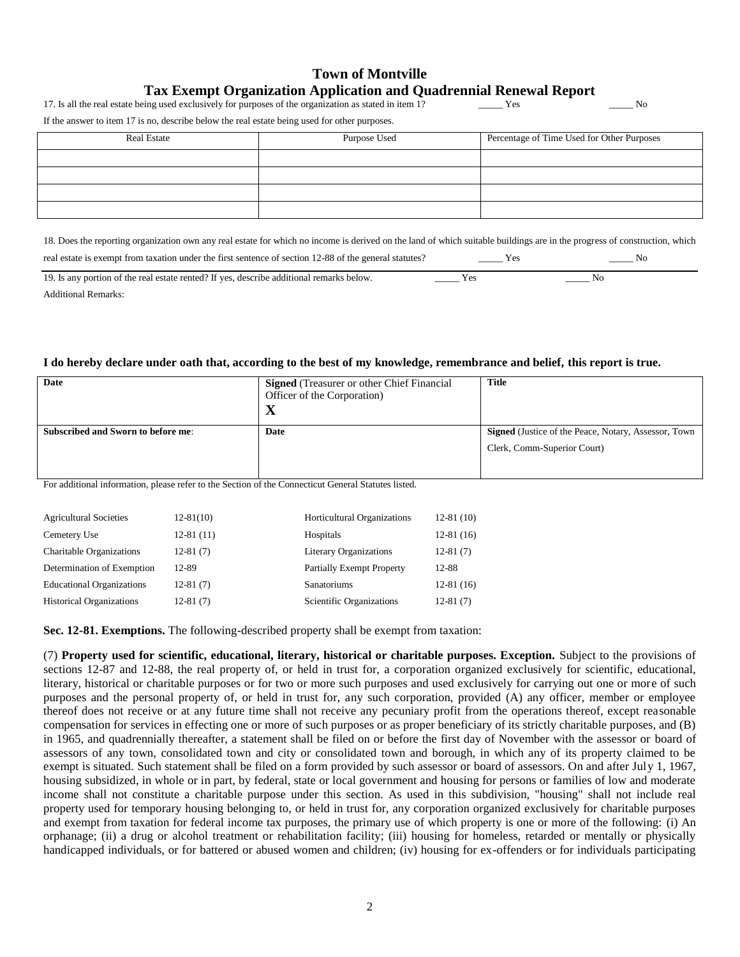| <b>Town of Montville</b>                                                  |  |  |
|---------------------------------------------------------------------------|--|--|
| <b>Tax Exempt Organization Application and Quadrennial Renewal Report</b> |  |  |

17. Is all the real estate being used exclusively for purposes of the organization as stated in item 1? Yes \_\_\_\_\_ Yes \_\_\_\_\_\_ No

If the answer to item 17 is no, describe below the real estate being used for other purposes.

| <b>Real Estate</b> | Purpose Used | Percentage of Time Used for Other Purposes |  |
|--------------------|--------------|--------------------------------------------|--|
|                    |              |                                            |  |
|                    |              |                                            |  |
|                    |              |                                            |  |
|                    |              |                                            |  |

18. Does the reporting organization own any real estate for which no income is derived on the land of which suitable buildings are in the progress of construction, which real estate is exempt from taxation under the first sentence of section 12-88 of the general statutes? Yes \_\_\_\_\_ Yes \_\_\_\_\_\_ No

19. Is any portion of the real estate rented? If yes, describe additional remarks below. Yes \_\_\_\_\_\_ Yes \_\_\_\_ No Additional Remarks:

## **I do hereby declare under oath that, according to the best of my knowledge, remembrance and belief, this report is true.**

| Date                                                                                                | <b>Signed</b> (Treasurer or other Chief Financial<br>Officer of the Corporation)<br>$\mathbf X$ | <b>Title</b>                                                |
|-----------------------------------------------------------------------------------------------------|-------------------------------------------------------------------------------------------------|-------------------------------------------------------------|
| <b>Subscribed and Sworn to before me:</b>                                                           | Date                                                                                            | <b>Signed</b> (Justice of the Peace, Notary, Assessor, Town |
|                                                                                                     |                                                                                                 | Clerk, Comm-Superior Court)                                 |
| For additional information, please refer to the Section of the Connecticut General Statutes listed. |                                                                                                 |                                                             |
|                                                                                                     |                                                                                                 |                                                             |

| <b>Agricultural Societies</b>    | $12-81(10)$ | Horticultural Organizations      | $12-81(10)$ |
|----------------------------------|-------------|----------------------------------|-------------|
| Cemetery Use                     | $12-81(11)$ | Hospitals                        | $12-81(16)$ |
| Charitable Organizations         | $12-81(7)$  | <b>Literary Organizations</b>    | $12-81(7)$  |
| Determination of Exemption       | 12-89       | <b>Partially Exempt Property</b> | 12-88       |
| <b>Educational Organizations</b> | $12-81(7)$  | <b>Sanatoriums</b>               | $12-81(16)$ |
| <b>Historical Organizations</b>  | $12-81(7)$  | Scientific Organizations         | $12-81(7)$  |
|                                  |             |                                  |             |

**Sec. 12-81. Exemptions.** The following-described property shall be exempt from taxation:

(7) **Property used for scientific, educational, literary, historical or charitable purposes. Exception.** Subject to the provisions of sections 12-87 and 12-88, the real property of, or held in trust for, a corporation organized exclusively for scientific, educational, literary, historical or charitable purposes or for two or more such purposes and used exclusively for carrying out one or more of such purposes and the personal property of, or held in trust for, any such corporation, provided (A) any officer, member or employee thereof does not receive or at any future time shall not receive any pecuniary profit from the operations thereof, except reasonable compensation for services in effecting one or more of such purposes or as proper beneficiary of its strictly charitable purposes, and (B) in 1965, and quadrennially thereafter, a statement shall be filed on or before the first day of November with the assessor or board of assessors of any town, consolidated town and city or consolidated town and borough, in which any of its property claimed to be exempt is situated. Such statement shall be filed on a form provided by such assessor or board of assessors. On and after July 1, 1967, housing subsidized, in whole or in part, by federal, state or local government and housing for persons or families of low and moderate income shall not constitute a charitable purpose under this section. As used in this subdivision, "housing" shall not include real property used for temporary housing belonging to, or held in trust for, any corporation organized exclusively for charitable purposes and exempt from taxation for federal income tax purposes, the primary use of which property is one or more of the following: (i) An orphanage; (ii) a drug or alcohol treatment or rehabilitation facility; (iii) housing for homeless, retarded or mentally or physically handicapped individuals, or for battered or abused women and children; (iv) housing for ex-offenders or for individuals participating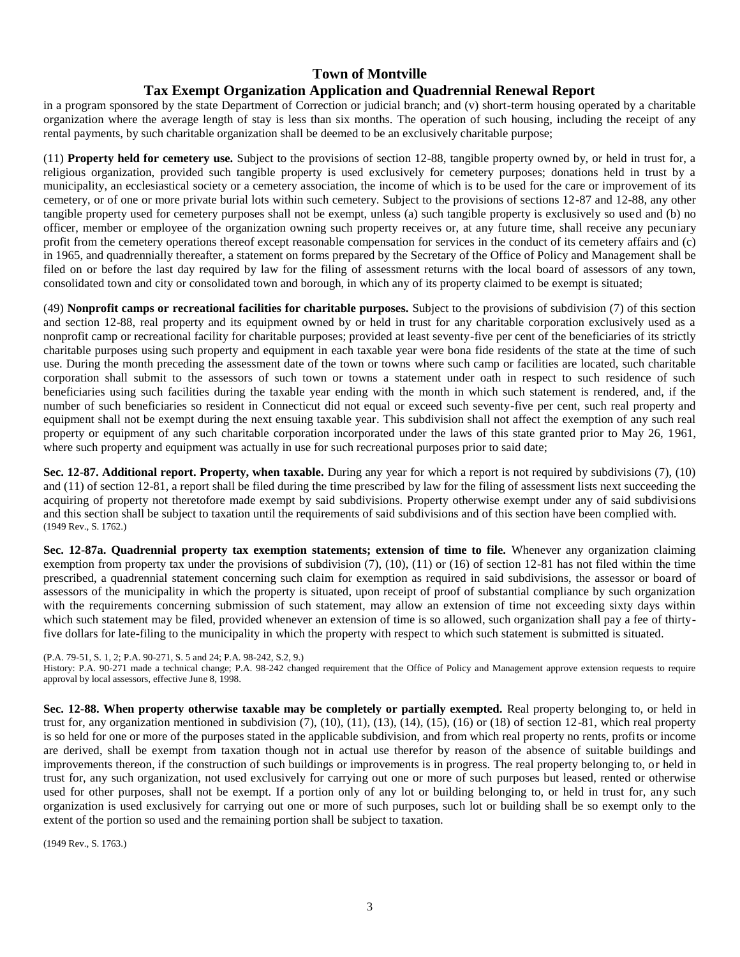## **Town of Montville Tax Exempt Organization Application and Quadrennial Renewal Report**

in a program sponsored by the state Department of Correction or judicial branch; and (v) short-term housing operated by a charitable organization where the average length of stay is less than six months. The operation of such housing, including the receipt of any rental payments, by such charitable organization shall be deemed to be an exclusively charitable purpose;

(11) **Property held for cemetery use.** Subject to the provisions of section 12-88, tangible property owned by, or held in trust for, a religious organization, provided such tangible property is used exclusively for cemetery purposes; donations held in trust by a municipality, an ecclesiastical society or a cemetery association, the income of which is to be used for the care or improvement of its cemetery, or of one or more private burial lots within such cemetery. Subject to the provisions of sections 12-87 and 12-88, any other tangible property used for cemetery purposes shall not be exempt, unless (a) such tangible property is exclusively so used and (b) no officer, member or employee of the organization owning such property receives or, at any future time, shall receive any pecuniary profit from the cemetery operations thereof except reasonable compensation for services in the conduct of its cemetery affairs and (c) in 1965, and quadrennially thereafter, a statement on forms prepared by the Secretary of the Office of Policy and Management shall be filed on or before the last day required by law for the filing of assessment returns with the local board of assessors of any town, consolidated town and city or consolidated town and borough, in which any of its property claimed to be exempt is situated;

(49) **Nonprofit camps or recreational facilities for charitable purposes.** Subject to the provisions of subdivision (7) of this section and section 12-88, real property and its equipment owned by or held in trust for any charitable corporation exclusively used as a nonprofit camp or recreational facility for charitable purposes; provided at least seventy-five per cent of the beneficiaries of its strictly charitable purposes using such property and equipment in each taxable year were bona fide residents of the state at the time of such use. During the month preceding the assessment date of the town or towns where such camp or facilities are located, such charitable corporation shall submit to the assessors of such town or towns a statement under oath in respect to such residence of such beneficiaries using such facilities during the taxable year ending with the month in which such statement is rendered, and, if the number of such beneficiaries so resident in Connecticut did not equal or exceed such seventy-five per cent, such real property and equipment shall not be exempt during the next ensuing taxable year. This subdivision shall not affect the exemption of any such real property or equipment of any such charitable corporation incorporated under the laws of this state granted prior to May 26, 1961, where such property and equipment was actually in use for such recreational purposes prior to said date;

**Sec. 12-87. Additional report. Property, when taxable.** During any year for which a report is not required by subdivisions (7), (10) and (11) of section 12-81, a report shall be filed during the time prescribed by law for the filing of assessment lists next succeeding the acquiring of property not theretofore made exempt by said subdivisions. Property otherwise exempt under any of said subdivisions and this section shall be subject to taxation until the requirements of said subdivisions and of this section have been complied with. (1949 Rev., S. 1762.)

**Sec. 12-87a. Quadrennial property tax exemption statements; extension of time to file.** Whenever any organization claiming exemption from property tax under the provisions of subdivision (7), (10), (11) or (16) of section 12-81 has not filed within the time prescribed, a quadrennial statement concerning such claim for exemption as required in said subdivisions, the assessor or board of assessors of the municipality in which the property is situated, upon receipt of proof of substantial compliance by such organization with the requirements concerning submission of such statement, may allow an extension of time not exceeding sixty days within which such statement may be filed, provided whenever an extension of time is so allowed, such organization shall pay a fee of thirtyfive dollars for late-filing to the municipality in which the property with respect to which such statement is submitted is situated.

(P.A. 79-51, S. 1, 2; P.A. 90-271, S. 5 and 24; P.A. 98-242, S.2, 9.)

History: P.A. 90-271 made a technical change; P.A. 98-242 changed requirement that the Office of Policy and Management approve extension requests to require approval by local assessors, effective June 8, 1998.

**Sec. 12-88. When property otherwise taxable may be completely or partially exempted.** Real property belonging to, or held in trust for, any organization mentioned in subdivision (7), (10), (11), (13), (14), (15), (16) or (18) of section 12-81, which real property is so held for one or more of the purposes stated in the applicable subdivision, and from which real property no rents, profits or income are derived, shall be exempt from taxation though not in actual use therefor by reason of the absence of suitable buildings and improvements thereon, if the construction of such buildings or improvements is in progress. The real property belonging to, or held in trust for, any such organization, not used exclusively for carrying out one or more of such purposes but leased, rented or otherwise used for other purposes, shall not be exempt. If a portion only of any lot or building belonging to, or held in trust for, any such organization is used exclusively for carrying out one or more of such purposes, such lot or building shall be so exempt only to the extent of the portion so used and the remaining portion shall be subject to taxation.

(1949 Rev., S. 1763.)